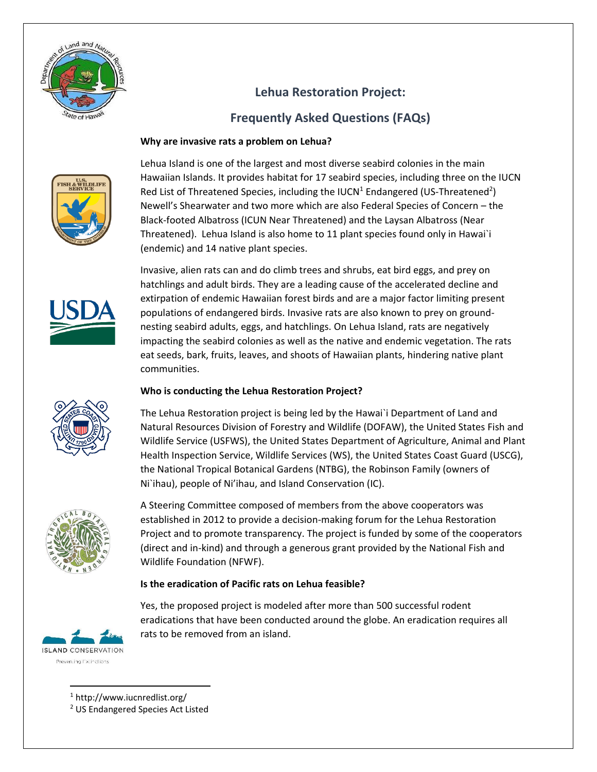

# **Lehua Restoration Project:**

# **Frequently Asked Questions (FAQs)**

# **Why are invasive rats a problem on Lehua?**



Lehua Island is one of the largest and most diverse seabird colonies in the main Hawaiian Islands. It provides habitat for 17 seabird species, including three on the IUCN Red List of Threatened Species, including the IUCN<sup>1</sup> Endangered (US-Threatened<sup>2</sup>) Newell's Shearwater and two more which are also Federal Species of Concern – the Black-footed Albatross (ICUN Near Threatened) and the Laysan Albatross (Near Threatened). Lehua Island is also home to 11 plant species found only in Hawai`i (endemic) and 14 native plant species.



Invasive, alien rats can and do climb trees and shrubs, eat bird eggs, and prey on hatchlings and adult birds. They are a leading cause of the accelerated decline and extirpation of endemic Hawaiian forest birds and are a major factor limiting present populations of endangered birds. Invasive rats are also known to prey on groundnesting seabird adults, eggs, and hatchlings. On Lehua Island, rats are negatively impacting the seabird colonies as well as the native and endemic vegetation. The rats eat seeds, bark, fruits, leaves, and shoots of Hawaiian plants, hindering native plant communities.

# **Who is conducting the Lehua Restoration Project?**

The Lehua Restoration project is being led by the Hawai`i Department of Land and Natural Resources Division of Forestry and Wildlife (DOFAW), the United States Fish and Wildlife Service (USFWS), the United States Department of Agriculture, Animal and Plant Health Inspection Service, Wildlife Services (WS), the United States Coast Guard (USCG), the National Tropical Botanical Gardens (NTBG), the Robinson Family (owners of Ni`ihau), people of Ni'ihau, and Island Conservation (IC).



A Steering Committee composed of members from the above cooperators was established in 2012 to provide a decision-making forum for the Lehua Restoration Project and to promote transparency. The project is funded by some of the cooperators (direct and in-kind) and through a generous grant provided by the National Fish and Wildlife Foundation (NFWF).

# **Is the eradication of Pacific rats on Lehua feasible?**

Yes, the proposed project is modeled after more than 500 successful rodent eradications that have been conducted around the globe. An eradication requires all rats to be removed from an island.



 $\overline{\phantom{a}}$ <sup>1</sup> http://www.iucnredlist.org/

<sup>2</sup> US Endangered Species Act Listed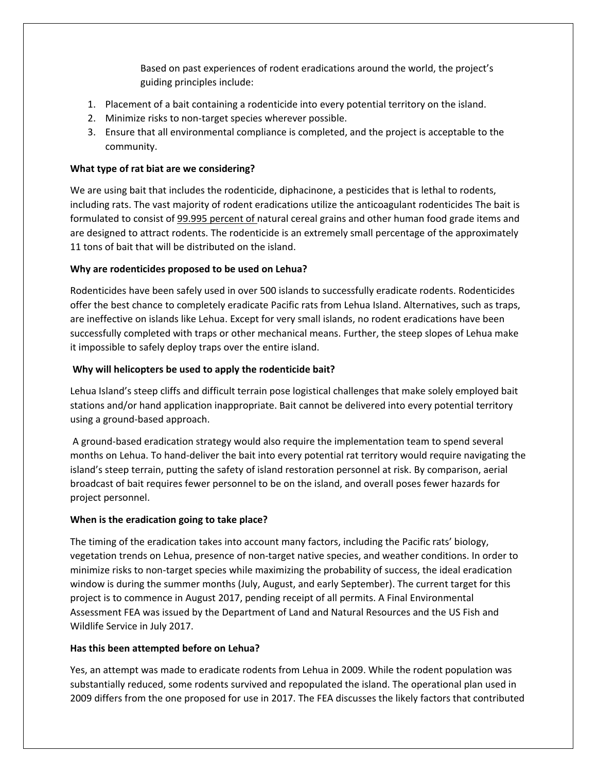Based on past experiences of rodent eradications around the world, the project's guiding principles include:

- 1. Placement of a bait containing a rodenticide into every potential territory on the island.
- 2. Minimize risks to non-target species wherever possible.
- 3. Ensure that all environmental compliance is completed, and the project is acceptable to the community.

#### **What type of rat biat are we considering?**

We are using bait that includes the rodenticide, diphacinone, a pesticides that is lethal to rodents, including rats. The vast majority of rodent eradications utilize the anticoagulant rodenticides The bait is formulated to consist of 99.995 percent of natural cereal grains and other human food grade items and are designed to attract rodents. The rodenticide is an extremely small percentage of the approximately 11 tons of bait that will be distributed on the island.

### **Why are rodenticides proposed to be used on Lehua?**

Rodenticides have been safely used in over 500 islands to successfully eradicate rodents. Rodenticides offer the best chance to completely eradicate Pacific rats from Lehua Island. Alternatives, such as traps, are ineffective on islands like Lehua. Except for very small islands, no rodent eradications have been successfully completed with traps or other mechanical means. Further, the steep slopes of Lehua make it impossible to safely deploy traps over the entire island.

### **Why will helicopters be used to apply the rodenticide bait?**

Lehua Island's steep cliffs and difficult terrain pose logistical challenges that make solely employed bait stations and/or hand application inappropriate. Bait cannot be delivered into every potential territory using a ground-based approach.

A ground-based eradication strategy would also require the implementation team to spend several months on Lehua. To hand-deliver the bait into every potential rat territory would require navigating the island's steep terrain, putting the safety of island restoration personnel at risk. By comparison, aerial broadcast of bait requires fewer personnel to be on the island, and overall poses fewer hazards for project personnel.

#### **When is the eradication going to take place?**

The timing of the eradication takes into account many factors, including the Pacific rats' biology, vegetation trends on Lehua, presence of non-target native species, and weather conditions. In order to minimize risks to non-target species while maximizing the probability of success, the ideal eradication window is during the summer months (July, August, and early September). The current target for this project is to commence in August 2017, pending receipt of all permits. A Final Environmental Assessment FEA was issued by the Department of Land and Natural Resources and the US Fish and Wildlife Service in July 2017.

#### **Has this been attempted before on Lehua?**

Yes, an attempt was made to eradicate rodents from Lehua in 2009. While the rodent population was substantially reduced, some rodents survived and repopulated the island. The operational plan used in 2009 differs from the one proposed for use in 2017. The FEA discusses the likely factors that contributed